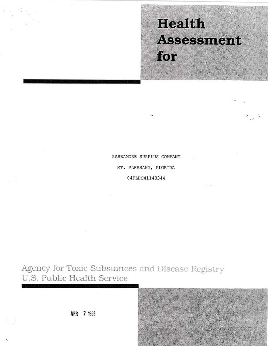# **Health Assessment** for

PARRAMORE SURPLUS COMPANY

MT. PLEASANT, FLORIDA

04FLDO41140344

Agency for Toxic Substances and Disease Registry U.S. Public Health Service

APR 7 1989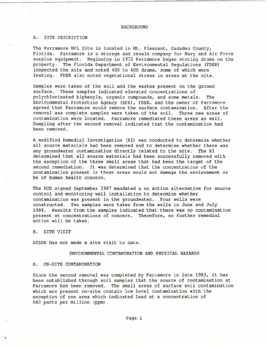#### BACKGROUND

## A. SITE DESCRIPTION

The Parramore NPL Site is located in Mt. Pleasant, Gadsden County, Florida. Parramore is a storage and resale company for Navy and Air Force surplus equipment. Beginning in 1972 Parramore began storing drums on the property. The Florida Department of Environmental Regulations (rDER) inspected the site and noted 400 to 600 drums, some of which were leaking. FDER also noted vegetational stress in areas at the site.

Samples were taken of the soil and the wastes present on the ground surface. These samples indicated elevated concentrations of polychlorinated biphenyls, organic compounds, and some metals. The Environmental Protection Agency (EPA), FDER, and the owner of Parramore agreed that Parramore would remove the surface contamination. After the removal was complete samples were taken of the soil. Three new areas of contamination were located. Parramore remediated these areas as well. Sampling after the second removal indicated that the contamination had been removed.

A modified Remedial Investigation (RI) was conducted to determine whether all source materials had been removed and to determine whether there was any groundwater contamination directly related to the site. The RI determined that all source materials had been successfully removed with the exception of the three small areas that had been the target of the second remediation. It was determined that the concentration of the contamination present in these areas would not damage the environment or be of human health concern.

The ROD signed September 1987 mandated a no action alternative for source control and monitoring well installation to determine whether contamination was present in the groundwater. Four wells were constructed. Two samples were taken from the wells in June and July 1988. Results from the samples indicated that there was no contamination present at concentrations of concern. Therefore, no further remedial action will be taken.

B. SITE VISIT

'.

ATSDR has not made a site visit to date.

# ENVIRONMENTAL CONTAMINATION AND PHYSICAL HAZARDS

#### A. ON-SITE CONTAMINATION

Since the second removal was completed by Parramore in late 1983, *it* has been established through soil samples that the source of contamination at Parramore has been removed. The small areas of surface soil contamination which are present on-site contain low level contamination with the exception of one area which indicated lead at a concentration of 640 parts per million (ppm).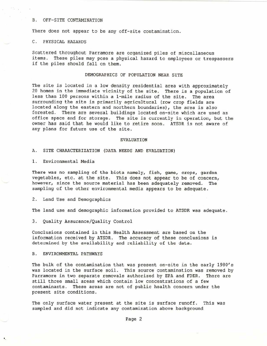#### B. OFF-SITE CONTAMINATION

There does not appear to be any off-site contamination.

# C. PHYSICAL HAZARDS

Scattered throughout Parramore are organized piles of miscellaneous *items.* These piles may pose a physical hazard to employees or trespassers if the piles should fall on them.

## DEMOGRAPHICS OF POPULATION NEAR SITE

The site is located in a low density residential area with approximately 20 homes in the immediate vicinity of the site. There is a population of less than 100 persons within a 1-mile radius of the site. The area surrounding the *site is* primarily agricultural (row crop fields are located along the eastern and northern boundaries), the area is also forested. There are several buildings located on-site which are used as office space and for storage. The site is currently in operation, but the owner has said that he would like to retire soon. ATSDR is not aware of any plans for future use of the site.

#### EVALUATION

A. SITE CHARACTERIZATION (DATA NEEDS AND EVALUATION)

1. Environmental Media

There was no sampling of the biota namely, fish, game, crops, garden vegetables, etc. at the site. This does not appear to be of concern, however, since the source material has been adequately removed. The sampling of the other envirornnental media appears to be adequate.

## 2. Land Use and Demographics

The land use and demographic information provided to ATSDR was adequate.

3. Quality Assurance/Quality Control

Conclusions contained in this Health Assessment are based on the information received by ATSDR. The accuracy of these conclusions is determined by the availability and reliability of the data.

#### B. ENVIRONMENTAL PATHWAYS

,

The bulk of the contamination that was present on-site in the early 1980's was located in the surface soil. This source contamination was removed by Parramore in two separate removals authorized by EPA and FDER. There are still three small areas which contain low concentrations of a few contaminants . These areas are not of public health concern under the present site conditions.

The only surface water present at the site is surface runoff. This was sampled and did not indicate any contamination above background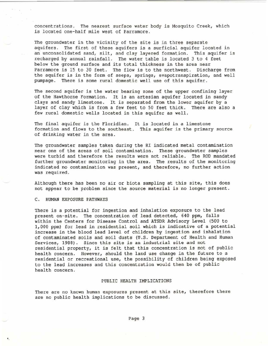concentrations. The nearest surface water body is Mosquito Creek, which is located one-half mile west of Parramore.

The groundwater in the vicinity of the site is in three separate aquifers. The first of these aquifers is a surficial aquifer located in an unconsolidated sand, silt, and clay layered formation. This aquifer is recharged by annual rainfall. The water table is located 3 to 4 feet below the ground surface and its total thickness in the area near Parramore is 15 to 30 feet. The flow is to the northwest. Discharge from the aquifer is in the form of seeps, springs, evapotranspiration, and well pumpage. There is some rural domestic well use of this aquifer.

The second aquifer is the water bearing zone of the upper confining layer of the Hawthorne Formation. It is an artesian aquifer located in sandy clays and sandy limestone. It is separated from the lower aquifer by a layer of clay which is from a few feet to 50 feet thick. There are also a few rural domestic wells located in this aquifer as well.

The final aquifer is the Floridian. It is located in a limestone formation and flows to the southeast. This aquifer is the primary source of drinking water in the area.

The groundwater samples taken during the RI indicated metal contamination near one of the areas of soil contamination. These groundwater samples were turbid and therefore the results were not reliable. The ROD mandated further groundwater monitoring in the area. The results of the monitoring indicated no contamination was present, and therefore, no further action was required .

Although there has been no air or biota sampling at this site, this does not appear to be problem since the source material is no longer present.

C. HUMAN EXPOSURE PATHWAYS

..

There is a potential for ingestion and inhalation exposure to the lead present on-site. The concentration of lead detected, 640 ppm, falls within the Centers for Disease Control and ATSDR Advisory Level (500 to 1,000 ppm) for lead in residential soil which is indicative of a potential increase in the blood lead level of children by ingestion and inhalation of contaminated soils and soil dusts (U.S. Department of Health and Human Services, 1988). Since this site is an industrial site and not residential property, it is felt that this concentration is not of public health concern. However, should the land use change in the future to a residential or recreational use, the possibility of children being exposed to the lead increases and this concentration would then be of public health concern.

# PUBLIC HEALTH IMPLICATIONS

There are no known human exposures present at this site, therefore there are no public health implications to be discussed.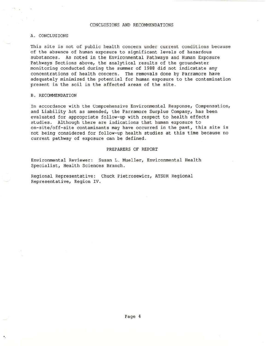## CONCLUS IONS AND RECOMMENDATIONS

## A. CONCLUSIONS

This site is not of public health concern under current conditions because of the absence of human exposure to significant levels of hazardous substances. As noted in the Environmental Pathways and Human Exposure Pathways Sections above, the analytical results of the groundwater monitoring conducted during the summer of 1988 did not indicatate any concentrations of health concern. The removals done by Parramore have adequately minimized the potential for human exposure to the contamination present in the soil in the affected areas of the site.

#### B. RECOMMENDATION

'.

In accordance with the Comprehensive Environmental Response, Compensation, and Liability Act as amended, the Parramore Surplus Company, has been evaluated for appropriate follow-up with respect to health effects studies. Although there are indications that human exposure to on-site/off-site contaminants may have occurred in the past, this site is not being considered for follow-up health studies at this time because no current pathway of exposure can be defined.

#### PREPARERS OF REPORT

Environmental Reviewer: Susan L. Mueller, Environmental Health Specialist, Health Sciences Branch.

Regional Representative: Chuck Pietrosewicz, ATSDR Regional Representative, Region IV .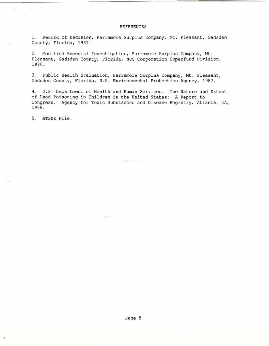## **REFERENCES**

1. Record of Decision, Parramore Surplus Company, Mt. Pleasant, Gadsden County, Florida, 1987.

2. Modified Remedial Investigation, Parramore Surplus Company, Mt. Pleasant, Gadsden County, Florida, NUS Corporation Superfund Division, 1986.

3. Public Health Evaluation, Parramore Surplus Company, Mt. Pleasant, Gadsden County, Florida, U.S. Environmental Protection Agency, 1987.

4. U.S. Department of Health and Human Services. The Nature and Extent of Lead Poisoning in Children in the United States: A Report to Congress. Agency for Toxic Substances and Disease Registry, Atlanta, GA, 1988.

5. ATSDR File.

125

 $\bullet$